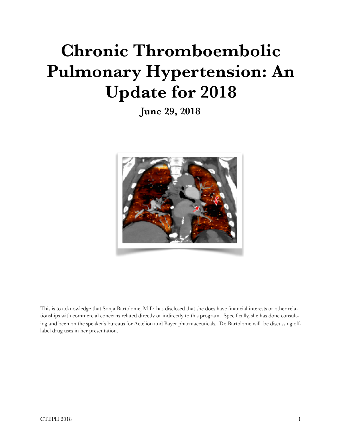# **Chronic Thromboembolic Pulmonary Hypertension: An Update for 2018**

**June 29, 2018**



This is to acknowledge that Sonja Bartolome, M.D. has disclosed that she does have financial interests or other relationships with commercial concerns related directly or indirectly to this program. Specifically, she has done consulting and been on the speaker's bureaus for Actelion and Bayer pharmaceuticals. Dr. Bartolome will be discussing offlabel drug uses in her presentation.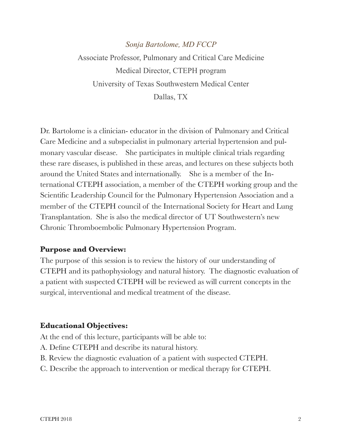# *Sonja Bartolome, MD FCCP*  Associate Professor, Pulmonary and Critical Care Medicine Medical Director, CTEPH program University of Texas Southwestern Medical Center Dallas, TX

Dr. Bartolome is a clinician- educator in the division of Pulmonary and Critical Care Medicine and a subspecialist in pulmonary arterial hypertension and pulmonary vascular disease. She participates in multiple clinical trials regarding these rare diseases, is published in these areas, and lectures on these subjects both around the United States and internationally. She is a member of the International CTEPH association, a member of the CTEPH working group and the Scientific Leadership Council for the Pulmonary Hypertension Association and a member of the CTEPH council of the International Society for Heart and Lung Transplantation. She is also the medical director of UT Southwestern's new Chronic Thromboembolic Pulmonary Hypertension Program.

## **Purpose and Overview:**

The purpose of this session is to review the history of our understanding of CTEPH and its pathophysiology and natural history. The diagnostic evaluation of a patient with suspected CTEPH will be reviewed as will current concepts in the surgical, interventional and medical treatment of the disease.

## **Educational Objectives:**

At the end of this lecture, participants will be able to:

- A. Define CTEPH and describe its natural history.
- B. Review the diagnostic evaluation of a patient with suspected CTEPH.
- C. Describe the approach to intervention or medical therapy for CTEPH.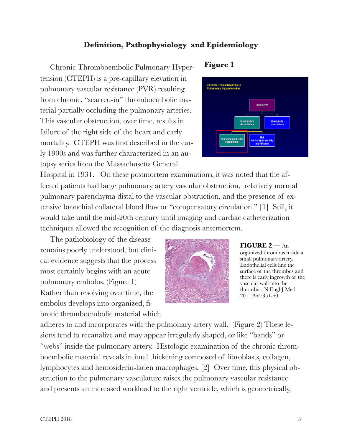## **Definition, Pathophysiology and Epidemiology**

 Chronic Thromboembolic Pulmonary Hypertension (CTEPH) is a pre-capillary elevation in pulmonary vascular resistance (PVR) resulting from chronic, "scarred-in" thromboembolic material partially occluding the pulmonary arteries. This vascular obstruction, over time, results in failure of the right side of the heart and early mortality. CTEPH was first described in the early 1900s and was further characterized in an autopsy series from the Massachusetts General

## **Figure 1**



Hospital in 1931. On these postmortem examinations, it was noted that the affected patients had large pulmonary artery vascular obstruction, relatively normal pulmonary parenchyma distal to the vascular obstruction, and the presence of extensive bronchial collateral blood flow or "compensatory circulation." [1] Still, it would take until the mid-20th century until imaging and cardiac catheterization techniques allowed the recognition of the diagnosis antemortem.

 The pathobiology of the disease remains poorly understood, but clinical evidence suggests that the process most certainly begins with an acute pulmonary embolus. (Figure 1) Rather than resolving over time, the embolus develops into organized, fibrotic thromboembolic material which



**FIGURE 2** — An organized thrombus inside a small pulmonary artery. Endothelial cells line the surface of the thrombus and there is early ingrowth of the vascular wall into the thrombus. N Engl J Med 2011;364:351-60.

adheres to and incorporates with the pulmonary artery wall. (Figure 2) These lesions tend to recanalize and may appear irregularly shaped, or like "bands" or "webs" inside the pulmonary artery. Histologic examination of the chronic thromboembolic material reveals intimal thickening composed of fibroblasts, collagen, lymphocytes and hemosiderin-laden macrophages. [2] Over time, this physical obstruction to the pulmonary vasculature raises the pulmonary vascular resistance and presents an increased workload to the right ventricle, which is geometrically,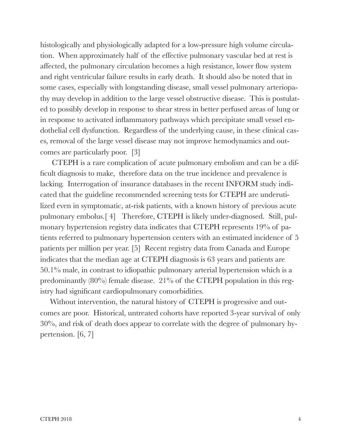histologically and physiologically adapted for a low-pressure high volume circulation. When approximately half of the effective pulmonary vascular bed at rest is affected, the pulmonary circulation becomes a high resistance, lower flow system and right ventricular failure results in early death. It should also be noted that in some cases, especially with longstanding disease, small vessel pulmonary arteriopathy may develop in addition to the large vessel obstructive disease. This is postulated to possibly develop in response to shear stress in better perfused areas of lung or in response to activated inflammatory pathways which precipitate small vessel endothelial cell dysfunction. Regardless of the underlying cause, in these clinical cases, removal of the large vessel disease may not improve hemodynamics and outcomes are particularly poor. [3]

 CTEPH is a rare complication of acute pulmonary embolism and can be a difficult diagnosis to make, therefore data on the true incidence and prevalence is lacking. Interrogation of insurance databases in the recent INFORM study indicated that the guideline recommended screening tests for CTEPH are underutilized even in symptomatic, at-risk patients, with a known history of previous acute pulmonary embolus.[ 4] Therefore, CTEPH is likely under-diagnosed. Still, pulmonary hypertension registry data indicates that CTEPH represents 19% of patients referred to pulmonary hypertension centers with an estimated incidence of 5 patients per million per year. [5] Recent registry data from Canada and Europe indicates that the median age at CTEPH diagnosis is 63 years and patients are 50.1% male, in contrast to idiopathic pulmonary arterial hypertension which is a predominantly (80%) female disease. 21% of the CTEPH population in this registry had significant cardiopulmonary comorbidities.

 Without intervention, the natural history of CTEPH is progressive and outcomes are poor. Historical, untreated cohorts have reported 3-year survival of only 30%, and risk of death does appear to correlate with the degree of pulmonary hypertension. [6, 7]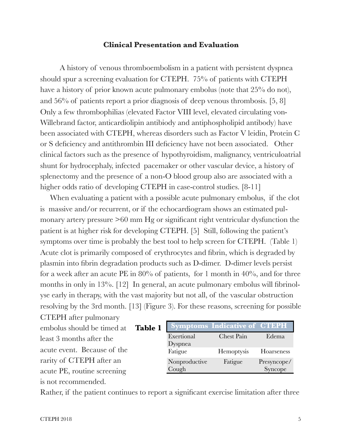## **Clinical Presentation and Evaluation**

A history of venous thromboembolism in a patient with persistent dyspnea should spur a screening evaluation for CTEPH. 75% of patients with CTEPH have a history of prior known acute pulmonary embolus (note that 25% do not), and 56% of patients report a prior diagnosis of deep venous thrombosis. [5, 8] Only a few thrombophilias (elevated Factor VIII level, elevated circulating von-Willebrand factor, anticardiolipin antibiody and antiphospholipid antibody) have been associated with CTEPH, whereas disorders such as Factor V leidin, Protein C or S deficiency and antithrombin III deficiency have not been associated. Other clinical factors such as the presence of hypothyroidism, malignancy, ventriculoatrial shunt for hydrocephaly, infected pacemaker or other vascular device, a history of splenectomy and the presence of a non-O blood group also are associated with a higher odds ratio of developing CTEPH in case-control studies. [8-11]

When evaluating a patient with a possible acute pulmonary embolus, if the clot is massive and/or recurrent, or if the echocardiogram shows an estimated pulmonary artery pressure >60 mm Hg or significant right ventricular dysfunction the patient is at higher risk for developing CTEPH. [5]Still, following the patient's symptoms over time is probably the best tool to help screen for CTEPH. (Table 1) Acute clot is primarily composed of erythrocytes and fibrin, which is degraded by plasmin into fibrin degradation products such as D-dimer. D-dimer levels persist for a week after an acute PE in  $80\%$  of patients, for 1 month in  $40\%$ , and for three months in only in 13%. [12] In general, an acute pulmonary embolus will fibrinolyse early in therapy, with the vast majority but not all, of the vascular obstruction resolving by the 3rd month. [13] (Figure 3). For these reasons, screening for possible

CTEPH after pulmonary embolus should be timed at least 3 months after the acute event. Because of the rarity of CTEPH after an acute PE, routine screening is not recommended. **Table 1**

|               | <b>Symptoms Indicative of CTEPH</b> |             |
|---------------|-------------------------------------|-------------|
| Exertional    | Chest Pain                          | Edema       |
| Dyspnea       |                                     |             |
| Fatigue       | Hemoptysis                          | Hoarseness  |
| Nonproductive | Fatigue                             | Presyncope/ |
| Cough         |                                     | Syncope     |

Rather, if the patient continues to report a significant exercise limitation after three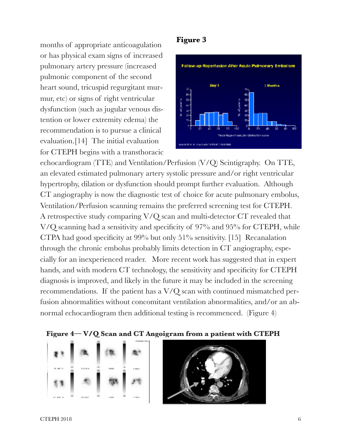months of appropriate anticoagulation or has physical exam signs of increased pulmonary artery pressure (increased pulmonic component of the second heart sound, tricuspid regurgitant murmur, etc) or signs of right ventricular dysfunction (such as jugular venous distention or lower extremity edema) the recommendation is to pursue a clinical evaluation.[14] The initial evaluation for CTEPH begins with a transthoracic

## **Figure 3**



echocardiogram (TTE) and Ventilation/Perfusion (V/Q) Scintigraphy. On TTE, an elevated estimated pulmonary artery systolic pressure and/or right ventricular hypertrophy, dilation or dysfunction should prompt further evaluation. Although CT angiography is now the diagnostic test of choice for acute pulmonary embolus, Ventilation/Perfusion scanning remains the preferred screening test for CTEPH. A retrospective study comparing V/Q scan and multi-detector CT revealed that V/Q scanning had a sensitivity and specificity of 97% and 95% for CTEPH, while CTPA had good specificity at 99% but only 51% sensitivity. [15] Recanalation through the chronic embolus probably limits detection in CT angiography, especially for an inexperienced reader. More recent work has suggested that in expert hands, and with modern CT technology, the sensitivity and specificity for CTEPH diagnosis is improved, and likely in the future it may be included in the screening recommendations. If the patient has a V/Q scan with continued mismatched perfusion abnormalities without concomitant ventilation abnormalities, and/or an abnormal echocardiogram then additional testing is recommenced. (Figure 4)





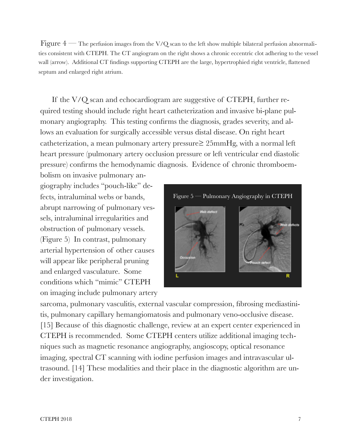Figure  $4$  — The perfusion images from the V/Q scan to the left show multiple bilateral perfusion abnormalities consistent with CTEPH. The CT angiogram on the right shows a chronic eccentric clot adhering to the vessel wall (arrow). Additional CT findings supporting CTEPH are the large, hypertrophied right ventricle, flattened septum and enlarged right atrium.

If the V/Q scan and echocardiogram are suggestive of CTEPH, further required testing should include right heart catheterization and invasive bi-plane pulmonary angiography. This testing confirms the diagnosis, grades severity, and allows an evaluation for surgically accessible versus distal disease. On right heart catheterization, a mean pulmonary artery pressure≥ 25mmHg, with a normal left heart pressure (pulmonary artery occlusion pressure or left ventricular end diastolic pressure) confirms the hemodynamic diagnosis. Evidence of chronic thromboem-

bolism on invasive pulmonary angiography includes "pouch-like" defects, intraluminal webs or bands, abrupt narrowing of pulmonary vessels, intraluminal irregularities and obstruction of pulmonary vessels. (Figure 5) In contrast, pulmonary arterial hypertension of other causes will appear like peripheral pruning and enlarged vasculature. Some conditions which "mimic" CTEPH on imaging include pulmonary artery



sarcoma, pulmonary vasculitis, external vascular compression, fibrosing mediastinitis, pulmonary capillary hemangiomatosis and pulmonary veno-occlusive disease. [15] Because of this diagnostic challenge, review at an expert center experienced in CTEPH is recommended. Some CTEPH centers utilize additional imaging techniques such as magnetic resonance angiography, angioscopy, optical resonance imaging, spectral CT scanning with iodine perfusion images and intravascular ultrasound. [14] These modalities and their place in the diagnostic algorithm are under investigation.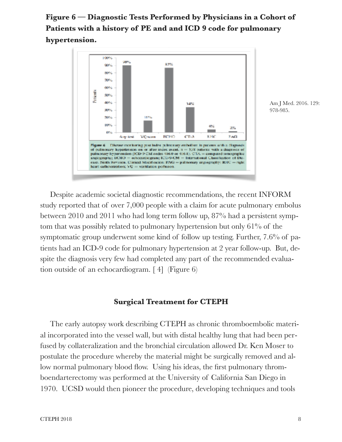## **Figure 6 — Diagnostic Tests Performed by Physicians in a Cohort of Patients with a history of PE and and ICD 9 code for pulmonary hypertension.**



Am J Med. 2016. 129: 978-985.

 Despite academic societal diagnostic recommendations, the recent INFORM study reported that of over 7,000 people with a claim for acute pulmonary embolus between 2010 and 2011 who had long term follow up, 87% had a persistent symptom that was possibly related to pulmonary hypertension but only 61% of the symptomatic group underwent some kind of follow up testing. Further, 7.6% of patients had an ICD-9 code for pulmonary hypertension at 2 year follow-up. But, despite the diagnosis very few had completed any part of the recommended evaluation outside of an echocardiogram. [ 4] (Figure 6)

## **Surgical Treatment for CTEPH**

The early autopsy work describing CTEPH as chronic thromboembolic material incorporated into the vessel wall, but with distal healthy lung that had been perfused by collateralization and the bronchial circulation allowed Dr. Ken Moser to postulate the procedure whereby the material might be surgically removed and allow normal pulmonary blood flow. Using his ideas, the first pulmonary thromboendarterectomy was performed at the University of California San Diego in 1970. UCSD would then pioneer the procedure, developing techniques and tools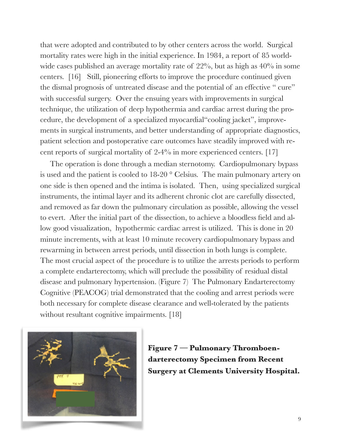that were adopted and contributed to by other centers across the world. Surgical mortality rates were high in the initial experience. In 1984, a report of 85 worldwide cases published an average mortality rate of 22%, but as high as  $40\%$  in some centers. [16] Still, pioneering efforts to improve the procedure continued given the dismal prognosis of untreated disease and the potential of an effective " cure" with successful surgery. Over the ensuing years with improvements in surgical technique, the utilization of deep hypothermia and cardiac arrest during the procedure, the development of a specialized myocardial"cooling jacket", improvements in surgical instruments, and better understanding of appropriate diagnostics, patient selection and postoperative care outcomes have steadily improved with recent reports of surgical mortality of 2-4% in more experienced centers. [17]

The operation is done through a median sternotomy. Cardiopulmonary bypass is used and the patient is cooled to 18-20 ° Celsius. The main pulmonary artery on one side is then opened and the intima is isolated. Then, using specialized surgical instruments, the intimal layer and its adherent chronic clot are carefully dissected, and removed as far down the pulmonary circulation as possible, allowing the vessel to evert. After the initial part of the dissection, to achieve a bloodless field and allow good visualization, hypothermic cardiac arrest is utilized. This is done in 20 minute increments, with at least 10 minute recovery cardiopulmonary bypass and rewarming in between arrest periods, until dissection in both lungs is complete. The most crucial aspect of the procedure is to utilize the arrests periods to perform a complete endarterectomy, which will preclude the possibility of residual distal disease and pulmonary hypertension. (Figure 7) The Pulmonary Endarterectomy Cognitive (PEACOG) trial demonstrated that the cooling and arrest periods were both necessary for complete disease clearance and well-tolerated by the patients without resultant cognitive impairments. [18]



**Figure 7 — Pulmonary Thromboendarterectomy Specimen from Recent Surgery at Clements University Hospital.**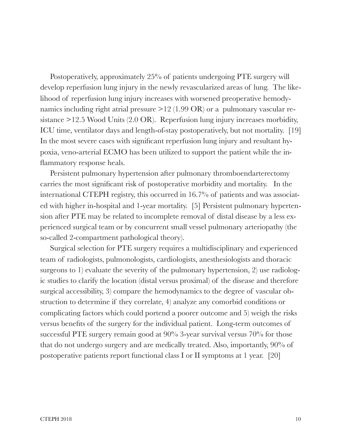Postoperatively, approximately 25% of patients undergoing PTE surgery will develop reperfusion lung injury in the newly revascularized areas of lung. The likelihood of reperfusion lung injury increases with worsened preoperative hemodynamics including right atrial pressure  $>12$  (1.99 OR) or a pulmonary vascular resistance >12.5 Wood Units (2.0 OR). Reperfusion lung injury increases morbidity, ICU time, ventilator days and length-of-stay postoperatively, but not mortality. [19] In the most severe cases with significant reperfusion lung injury and resultant hypoxia, veno-arterial ECMO has been utilized to support the patient while the inflammatory response heals.

 Persistent pulmonary hypertension after pulmonary thromboendarterectomy carries the most significant risk of postoperative morbidity and mortality. In the international CTEPH registry, this occurred in 16.7% of patients and was associated with higher in-hospital and 1-year mortality. [5] Persistent pulmonary hypertension after PTE may be related to incomplete removal of distal disease by a less experienced surgical team or by concurrent small vessel pulmonary arteriopathy (the so-called 2-compartment pathological theory).

 Surgical selection for PTE surgery requires a multidisciplinary and experienced team of radiologists, pulmonologists, cardiologists, anesthesiologists and thoracic surgeons to 1) evaluate the severity of the pulmonary hypertension, 2) use radiologic studies to clarify the location (distal versus proximal) of the disease and therefore surgical accessibility, 3) compare the hemodynamics to the degree of vascular obstruction to determine if they correlate, 4) analyze any comorbid conditions or complicating factors which could portend a poorer outcome and 5) weigh the risks versus benefits of the surgery for the individual patient. Long-term outcomes of successful PTE surgery remain good at 90% 3-year survival versus 70% for those that do not undergo surgery and are medically treated. Also, importantly, 90% of postoperative patients report functional class I or II symptoms at 1 year. [20]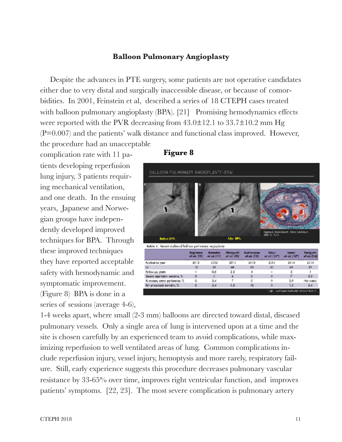## **Balloon Pulmonary Angioplasty**

Despite the advances in PTE surgery, some patients are not operative candidates either due to very distal and surgically inaccessible disease, or because of comorbidities. In 2001, Feinstein et al, described a series of 18 CTEPH cases treated with balloon pulmonary angioplasty (BPA). [21] Promising hemodynamics effects were reported with the PVR decreasing from  $43.0\pm12.1$  to  $33.7\pm10.2$  mm Hg (P=0.007) and the patients' walk distance and functional class improved. However, the procedure had an unacceptable

complication rate with 11 patients developing reperfusion lung injury, 3 patients requiring mechanical ventilation, and one death. In the ensuing years, Japanese and Norwegian groups have independently developed improved techniques for BPA. Through these improved techniques they have reported acceptable safety with hemodynamic and symptomatic improvement. (Figure 8) BPA is done in a series of sessions (average 4-6),

## **Figure 8**



1-4 weeks apart, where small (2-3 mm) balloons are directed toward distal, diseased pulmonary vessels. Only a single area of lung is intervened upon at a time and the site is chosen carefully by an experienced team to avoid complications, while maximizing reperfusion to well ventilated areas of lung. Common complications include reperfusion injury, vessel injury, hemoptysis and more rarely, respiratory failure. Still, early experience suggests this procedure decreases pulmonary vascular resistance by 33-65% over time, improves right ventricular function, and improves patients' symptoms. [22, 23]. The most severe complication is pulmonary artery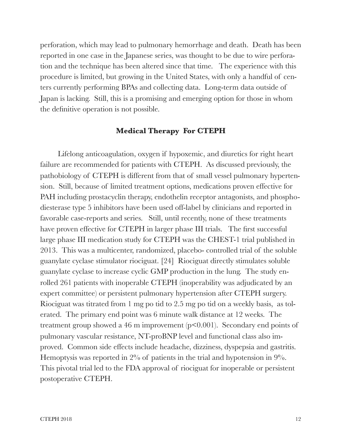perforation, which may lead to pulmonary hemorrhage and death. Death has been reported in one case in the Japanese series, was thought to be due to wire perforation and the technique has been altered since that time. The experience with this procedure is limited, but growing in the United States, with only a handful of centers currently performing BPAs and collecting data. Long-term data outside of Japan is lacking. Still, this is a promising and emerging option for those in whom the definitive operation is not possible.

### **Medical Therapy For CTEPH**

Lifelong anticoagulation, oxygen if hypoxemic, and diuretics for right heart failure are recommended for patients with CTEPH. As discussed previously, the pathobiology of CTEPH is different from that of small vessel pulmonary hypertension. Still, because of limited treatment options, medications proven effective for PAH including prostacyclin therapy, endothelin receptor antagonists, and phosphodiesterase type 5 inhibitors have been used off-label by clinicians and reported in favorable case-reports and series. Still, until recently, none of these treatments have proven effective for CTEPH in larger phase III trials. The first successful large phase III medication study for CTEPH was the CHEST-1 trial published in 2013. This was a multicenter, randomized, placebo- controlled trial of the soluble guanylate cyclase stimulator riociguat. [24] Riociguat directly stimulates soluble guanylate cyclase to increase cyclic GMP production in the lung. The study enrolled 261 patients with inoperable CTEPH (inoperability was adjudicated by an expert committee) or persistent pulmonary hypertension after CTEPH surgery. Riociguat was titrated from 1 mg po tid to 2.5 mg po tid on a weekly basis, as tolerated. The primary end point was 6 minute walk distance at 12 weeks. The treatment group showed a 46 m improvement  $(p<0.001)$ . Secondary end points of pulmonary vascular resistance, NT-proBNP level and functional class also improved. Common side effects include headache, dizziness, dyspepsia and gastritis. Hemoptysis was reported in 2% of patients in the trial and hypotension in 9%. This pivotal trial led to the FDA approval of riociguat for inoperable or persistent postoperative CTEPH.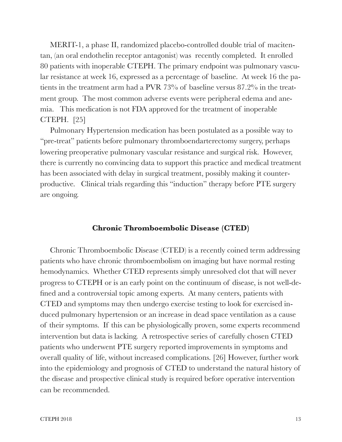MERIT-1, a phase II, randomized placebo-controlled double trial of macitentan, (an oral endothelin receptor antagonist) was recently completed. It enrolled 80 patients with inoperable CTEPH. The primary endpoint was pulmonary vascular resistance at week 16, expressed as a percentage of baseline. At week 16 the patients in the treatment arm had a PVR 73% of baseline versus 87.2% in the treatment group. The most common adverse events were peripheral edema and anemia. This medication is not FDA approved for the treatment of inoperable CTEPH. [25]

 Pulmonary Hypertension medication has been postulated as a possible way to "pre-treat" patients before pulmonary thromboendarterectomy surgery, perhaps lowering preoperative pulmonary vascular resistance and surgical risk. However, there is currently no convincing data to support this practice and medical treatment has been associated with delay in surgical treatment, possibly making it counterproductive. Clinical trials regarding this "induction" therapy before PTE surgery are ongoing.

### **Chronic Thromboembolic Disease (CTED)**

 Chronic Thromboembolic Disease (CTED) is a recently coined term addressing patients who have chronic thromboembolism on imaging but have normal resting hemodynamics. Whether CTED represents simply unresolved clot that will never progress to CTEPH or is an early point on the continuum of disease, is not well-defined and a controversial topic among experts. At many centers, patients with CTED and symptoms may then undergo exercise testing to look for exercised induced pulmonary hypertension or an increase in dead space ventilation as a cause of their symptoms. If this can be physiologically proven, some experts recommend intervention but data is lacking. A retrospective series of carefully chosen CTED patients who underwent PTE surgery reported improvements in symptoms and overall quality of life, without increased complications. [26] However, further work into the epidemiology and prognosis of CTED to understand the natural history of the disease and prospective clinical study is required before operative intervention can be recommended.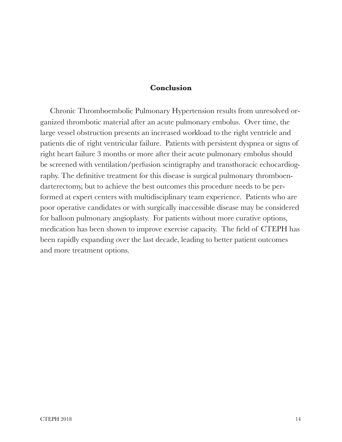## **Conclusion**

Chronic Thromboembolic Pulmonary Hypertension results from unresolved organized thrombotic material after an acute pulmonary embolus. Over time, the large vessel obstruction presents an increased workload to the right ventricle and patients die of right ventricular failure. Patients with persistent dyspnea or signs of right heart failure 3 months or more after their acute pulmonary embolus should be screened with ventilation/perfusion scintigraphy and transthoracic echocardiography. The definitive treatment for this disease is surgical pulmonary thromboendarterectomy, but to achieve the best outcomes this procedure needs to be performed at expert centers with multidisciplinary team experience. Patients who are poor operative candidates or with surgically inaccessible disease may be considered for balloon pulmonary angioplasty. For patients without more curative options, medication has been shown to improve exercise capacity. The field of CTEPH has been rapidly expanding over the last decade, leading to better patient outcomes and more treatment options.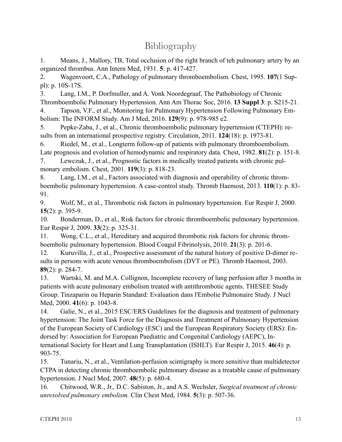## **Bibliography**

1. Means, J., Mallory, TB, Total occlusion of the right branch of teh pulmonary artery by an organized thrombus. Ann Intern Med, 1931. **5**: p. 417-427.

2. Wagenvoort, C.A., Pathology of pulmonary thromboembolism. Chest, 1995. **107**(1 Suppl): p. 10S-17S.

3. Lang, I.M., P. Dorfmuller, and A. Vonk Noordegraaf, The Pathobiology of Chronic Thromboembolic Pulmonary Hypertension. Ann Am Thorac Soc, 2016. **13 Suppl 3**: p. S215-21.

4. Tapson, V.F., et al., Monitoring for Pulmonary Hypertension Following Pulmonary Embolism: The INFORM Study. Am J Med, 2016. **129**(9): p. 978-985 e2.

5. Pepke-Zaba, J., et al., Chronic thromboembolic pulmonary hypertension (CTEPH): results from an international prospective registry. Circulation, 2011. **124**(18): p. 1973-81.

6. Riedel, M., et al., Longterm follow-up of patients with pulmonary thromboembolism. Late prognosis and evolution of hemodynamic and respiratory data. Chest, 1982. **81**(2): p. 151-8.

7. Lewczuk, J., et al., Prognostic factors in medically treated patients with chronic pulmonary embolism. Chest, 2001. **119**(3): p. 818-23.

8. Lang, I.M., et al., Factors associated with diagnosis and operability of chronic thromboembolic pulmonary hypertension. A case-control study. Thromb Haemost, 2013. **110**(1): p. 83- 91.

9. Wolf, M., et al., Thrombotic risk factors in pulmonary hypertension. Eur Respir J, 2000. **15**(2): p. 395-9.

10. Bonderman, D., et al., Risk factors for chronic thromboembolic pulmonary hypertension. Eur Respir J, 2009. **33**(2): p. 325-31.

11. Wong, C.L., et al., Hereditary and acquired thrombotic risk factors for chronic thromboembolic pulmonary hypertension. Blood Coagul Fibrinolysis, 2010. **21**(3): p. 201-6.

12. Kuruvilla, J., et al., Prospective assessment of the natural history of positive D-dimer results in persons with acute venous thromboembolism (DVT or PE). Thromb Haemost, 2003. **89**(2): p. 284-7.

13. Wartski, M. and M.A. Collignon, Incomplete recovery of lung perfusion after 3 months in patients with acute pulmonary embolism treated with antithrombotic agents. THESEE Study Group. Tinzaparin ou Heparin Standard: Evaluation dans l'Embolie Pulmonaire Study. J Nucl Med, 2000. **41**(6): p. 1043-8.

14. Galie, N., et al., 2015 ESC/ERS Guidelines for the diagnosis and treatment of pulmonary hypertension: The Joint Task Force for the Diagnosis and Treatment of Pulmonary Hypertension of the European Society of Cardiology (ESC) and the European Respiratory Society (ERS): Endorsed by: Association for European Paediatric and Congenital Cardiology (AEPC), International Society for Heart and Lung Transplantation (ISHLT). Eur Respir J, 2015. **46**(4): p. 903-75.

15. Tunariu, N., et al., Ventilation-perfusion scintigraphy is more sensitive than multidetector CTPA in detecting chronic thromboembolic pulmonary disease as a treatable cause of pulmonary hypertension. J Nucl Med, 2007. **48**(5): p. 680-4.

16. Chitwood, W.R., Jr., D.C. Sabiston, Jr., and A.S. Wechsler, *Surgical treatment of chronic unresolved pulmonary embolism.* Clin Chest Med, 1984. **5**(3): p. 507-36.